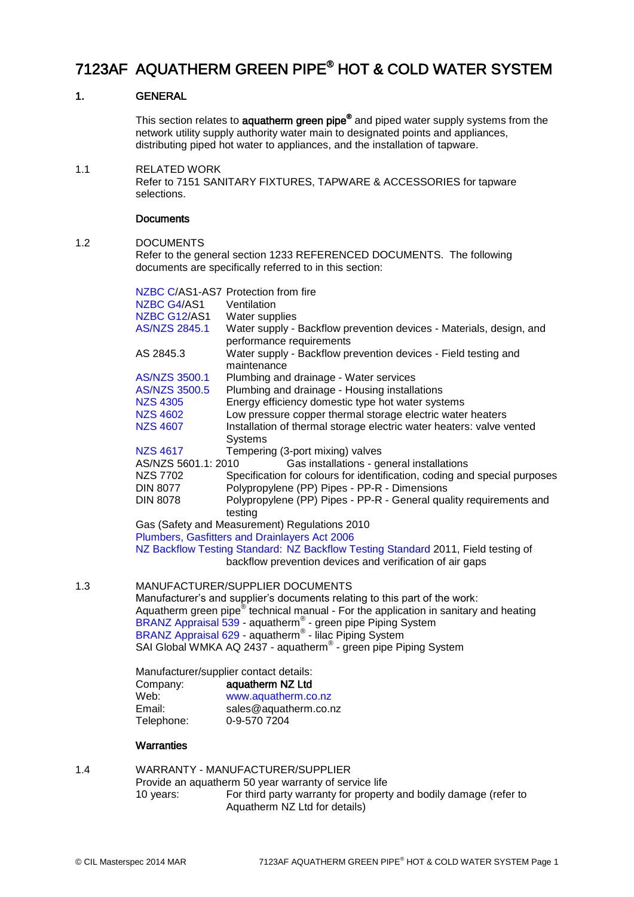# 7123AF AQUATHERM GREEN PIPE® HOT & COLD WATER SYSTEM

# 1. GENERAL

This section relates to **aquatherm green pipe<sup>®</sup> and piped water supply systems from the** network utility supply authority water main to designated points and appliances, distributing piped hot water to appliances, and the installation of tapware.

1.1 RELATED WORK Refer to 7151 SANITARY FIXTURES, TAPWARE & ACCESSORIES for tapware selections.

### **Documents**

### 1.2 DOCUMENTS

Refer to the general section 1233 REFERENCED DOCUMENTS. The following documents are specifically referred to in this section:

|     |                                                                                                  | NZBC C/AS1-AS7 Protection from fire                                                            |  |  |
|-----|--------------------------------------------------------------------------------------------------|------------------------------------------------------------------------------------------------|--|--|
|     | NZBC G4/AS1                                                                                      | Ventilation                                                                                    |  |  |
|     | NZBC G12/AS1                                                                                     | Water supplies                                                                                 |  |  |
|     | <b>AS/NZS 2845.1</b>                                                                             | Water supply - Backflow prevention devices - Materials, design, and                            |  |  |
|     |                                                                                                  | performance requirements                                                                       |  |  |
|     | AS 2845.3                                                                                        | Water supply - Backflow prevention devices - Field testing and                                 |  |  |
|     |                                                                                                  | maintenance                                                                                    |  |  |
|     | AS/NZS 3500.1                                                                                    | Plumbing and drainage - Water services                                                         |  |  |
|     | <b>AS/NZS 3500.5</b>                                                                             | Plumbing and drainage - Housing installations                                                  |  |  |
|     | <b>NZS 4305</b>                                                                                  | Energy efficiency domestic type hot water systems                                              |  |  |
|     | <b>NZS 4602</b>                                                                                  | Low pressure copper thermal storage electric water heaters                                     |  |  |
|     | <b>NZS 4607</b>                                                                                  | Installation of thermal storage electric water heaters: valve vented<br><b>Systems</b>         |  |  |
|     | <b>NZS 4617</b>                                                                                  | Tempering (3-port mixing) valves                                                               |  |  |
|     | AS/NZS 5601.1: 2010<br>Gas installations - general installations                                 |                                                                                                |  |  |
|     | <b>NZS 7702</b>                                                                                  | Specification for colours for identification, coding and special purposes                      |  |  |
|     | <b>DIN 8077</b>                                                                                  | Polypropylene (PP) Pipes - PP-R - Dimensions                                                   |  |  |
|     | <b>DIN 8078</b>                                                                                  | Polypropylene (PP) Pipes - PP-R - General quality requirements and<br>testing                  |  |  |
|     |                                                                                                  | Gas (Safety and Measurement) Regulations 2010<br>Plumbers, Gasfitters and Drainlayers Act 2006 |  |  |
|     |                                                                                                  | NZ Backflow Testing Standard: NZ Backflow Testing Standard 2011, Field testing of              |  |  |
|     |                                                                                                  | backflow prevention devices and verification of air gaps                                       |  |  |
| 1.3 | MANUFACTURER/SUPPLIER DOCUMENTS                                                                  |                                                                                                |  |  |
|     |                                                                                                  | Manufacturer's and supplier's documents relating to this part of the work:                     |  |  |
|     | Aquatherm green pipe <sup>®</sup> technical manual - For the application in sanitary and heating |                                                                                                |  |  |
|     | BRANZ Appraisal 539 - aquatherm <sup>®</sup> - green pipe Piping System                          |                                                                                                |  |  |
|     | BRANZ Appraisal 629 - aquatherm® - Illac Piping System                                           |                                                                                                |  |  |
|     | SAI Global WMKA AQ 2437 - aquatherm <sup>®</sup> - green pipe Piping System                      |                                                                                                |  |  |
|     | Manufacturer/supplier contact details:                                                           |                                                                                                |  |  |
|     | Company:                                                                                         | aquatherm NZ Ltd                                                                               |  |  |
|     | Web:                                                                                             | www.aquatherm.co.nz                                                                            |  |  |
|     | Email:                                                                                           | sales@aquatherm.co.nz                                                                          |  |  |
|     | Telephone:                                                                                       | 0-9-570 7204                                                                                   |  |  |
|     | <b>Warranties</b>                                                                                |                                                                                                |  |  |
|     |                                                                                                  |                                                                                                |  |  |

1.4 WARRANTY - MANUFACTURER/SUPPLIER Provide an aquatherm 50 year warranty of service life 10 years: For third party warranty for property and bodily damage (refer to Aquatherm NZ Ltd for details)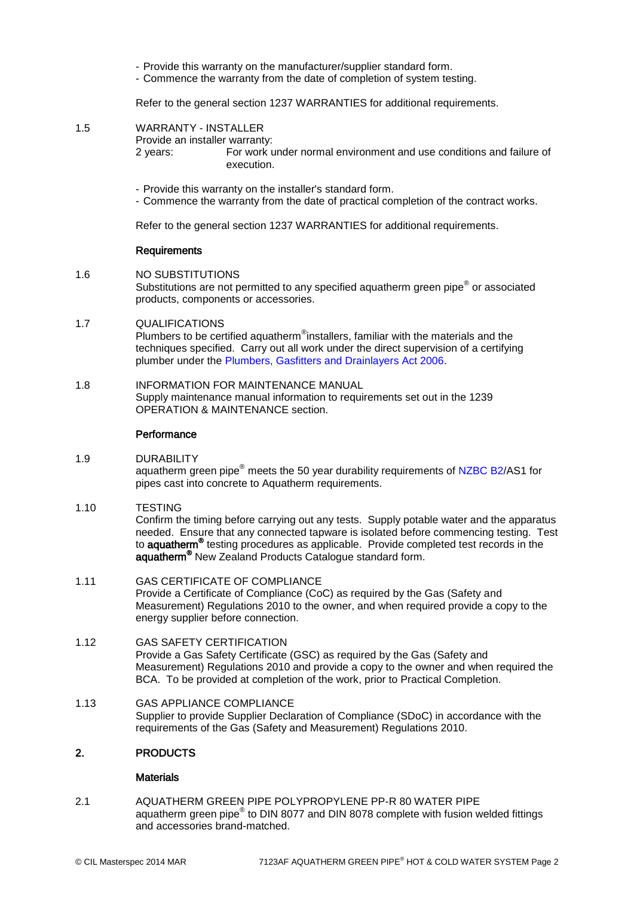- Provide this warranty on the manufacturer/supplier standard form.
- Commence the warranty from the date of completion of system testing.

Refer to the general section 1237 WARRANTIES for additional requirements.

1.5 WARRANTY - INSTALLER

Provide an installer warranty: 2 years: For work under normal environment and use conditions and failure of execution.

- Provide this warranty on the installer's standard form.
- Commence the warranty from the date of practical completion of the contract works.

Refer to the general section 1237 WARRANTIES for additional requirements.

#### Requirements

- 1.6 NO SUBSTITUTIONS Substitutions are not permitted to any specified aquatherm green pipe $^{\circ}$  or associated products, components or accessories.
- 1.7 QUALIFICATIONS

Plumbers to be certified aquatherm<sup>®</sup>installers, familiar with the materials and the techniques specified. Carry out all work under the direct supervision of a certifying plumber under the [Plumbers, Gasfitters and Drainlayers Act 2006.](http://www.masterspec.co.nz/redirect.aspx?pl=1207)

1.8 INFORMATION FOR MAINTENANCE MANUAL Supply maintenance manual information to requirements set out in the 1239 OPERATION & MAINTENANCE section.

#### **Performance**

### 1.9 DURABILITY

aquatherm green pipe<sup>®</sup> meets the 50 year durability requirements of [NZBC B2/](http://www.masterspec.co.nz/redirect.aspx?pl=223)AS1 for pipes cast into concrete to Aquatherm requirements.

1.10 TESTING

Confirm the timing before carrying out any tests. Supply potable water and the apparatus needed. Ensure that any connected tapware is isolated before commencing testing. Test to **aquatherm<sup>®</sup>** testing procedures as applicable. Provide completed test records in the aquatherm® New Zealand Products Catalogue standard form.

1.11 GAS CERTIFICATE OF COMPLIANCE Provide a Certificate of Compliance (CoC) as required by the Gas (Safety and Measurement) Regulations 2010 to the owner, and when required provide a copy to the energy supplier before connection.

### 1.12 GAS SAFETY CERTIFICATION Provide a Gas Safety Certificate (GSC) as required by the Gas (Safety and Measurement) Regulations 2010 and provide a copy to the owner and when required the BCA. To be provided at completion of the work, prior to Practical Completion.

1.13 GAS APPLIANCE COMPLIANCE Supplier to provide Supplier Declaration of Compliance (SDoC) in accordance with the requirements of the Gas (Safety and Measurement) Regulations 2010.

### 2. PRODUCTS

### **Materials**

2.1 AQUATHERM GREEN PIPE POLYPROPYLENE PP-R 80 WATER PIPE aquatherm green pipe $^{\circledast}$  to DIN 8077 and DIN 8078 complete with fusion welded fittings and accessories brand-matched.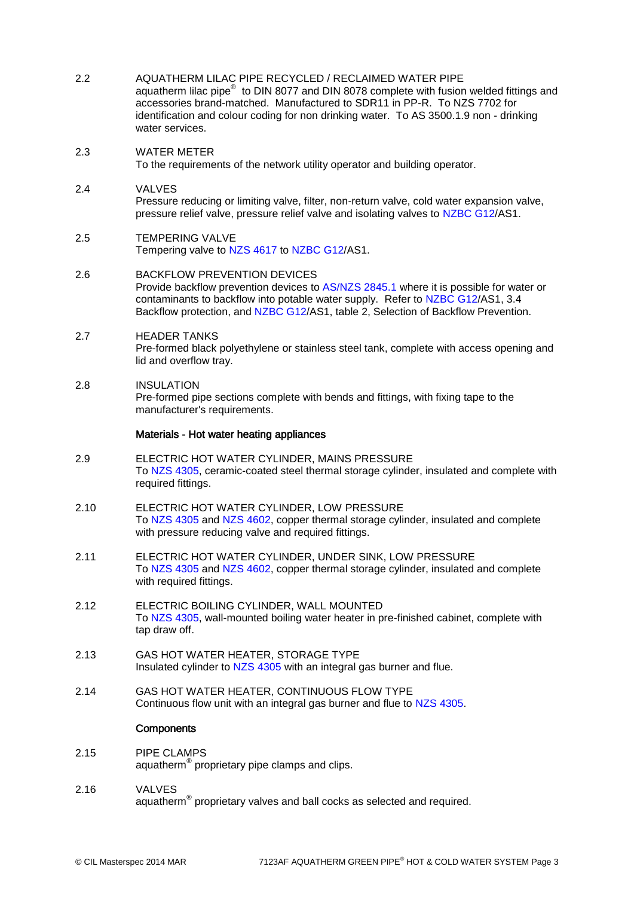- 2.2 AQUATHERM LILAC PIPE RECYCLED / RECLAIMED WATER PIPE aquatherm lilac pipe $^{\circledast}$  to DIN 8077 and DIN 8078 complete with fusion welded fittings and accessories brand-matched. Manufactured to SDR11 in PP-R. To NZS 7702 for identification and colour coding for non drinking water. To AS 3500.1.9 non - drinking water services.
- 2.3 WATER METER To the requirements of the network utility operator and building operator.
- 2.4 VALVES Pressure reducing or limiting valve, filter, non-return valve, cold water expansion valve, pressure relief valve, pressure relief valve and isolating valves to [NZBC G12/](http://www.masterspec.co.nz/redirect.aspx?pl=254)AS1.
- 2.5 TEMPERING VALVE Tempering valve to [NZS 4617](http://www.masterspec.co.nz/redirect.aspx?pl=525) to [NZBC G12/](http://www.masterspec.co.nz/redirect.aspx?pl=254)AS1.
- 2.6 BACKFLOW PREVENTION DEVICES Provide backflow prevention devices to [AS/NZS 2845.1](http://www.masterspec.co.nz/redirect.aspx?pl=553) where it is possible for water or contaminants to backflow into potable water supply. Refer to [NZBC G12/](http://www.masterspec.co.nz/redirect.aspx?pl=254)AS1, 3.4 Backflow protection, and [NZBC G12/](http://www.masterspec.co.nz/redirect.aspx?pl=254)AS1, table 2, Selection of Backflow Prevention.
- 2.7 HEADER TANKS Pre-formed black polyethylene or stainless steel tank, complete with access opening and lid and overflow tray.
- 2.8 INSULATION Pre-formed pipe sections complete with bends and fittings, with fixing tape to the manufacturer's requirements.

### Materials - Hot water heating appliances

- 2.9 ELECTRIC HOT WATER CYLINDER, MAINS PRESSURE To [NZS 4305,](http://www.masterspec.co.nz/redirect.aspx?pl=331) ceramic-coated steel thermal storage cylinder, insulated and complete with required fittings.
- 2.10 ELECTRIC HOT WATER CYLINDER, LOW PRESSURE To [NZS 4305](http://www.masterspec.co.nz/redirect.aspx?pl=331) and [NZS 4602,](http://www.masterspec.co.nz/redirect.aspx?pl=448) copper thermal storage cylinder, insulated and complete with pressure reducing valve and required fittings.
- 2.11 ELECTRIC HOT WATER CYLINDER, UNDER SINK, LOW PRESSURE To [NZS 4305](http://www.masterspec.co.nz/redirect.aspx?pl=331) and [NZS 4602,](http://www.masterspec.co.nz/redirect.aspx?pl=448) copper thermal storage cylinder, insulated and complete with required fittings.
- 2.12 ELECTRIC BOILING CYLINDER, WALL MOUNTED To [NZS 4305,](http://www.masterspec.co.nz/redirect.aspx?pl=331) wall-mounted boiling water heater in pre-finished cabinet, complete with tap draw off.
- 2.13 GAS HOT WATER HEATER, STORAGE TYPE Insulated cylinder to [NZS 4305](http://www.masterspec.co.nz/redirect.aspx?pl=331) with an integral gas burner and flue.
- 2.14 GAS HOT WATER HEATER, CONTINUOUS FLOW TYPE Continuous flow unit with an integral gas burner and flue to [NZS 4305.](http://www.masterspec.co.nz/redirect.aspx?pl=331)

### **Components**

- 2.15 PIPE CLAMPS aquatherm® proprietary pipe clamps and clips.
- 2.16 VALVES aquatherm $^{\circledR}$  proprietary valves and ball cocks as selected and required.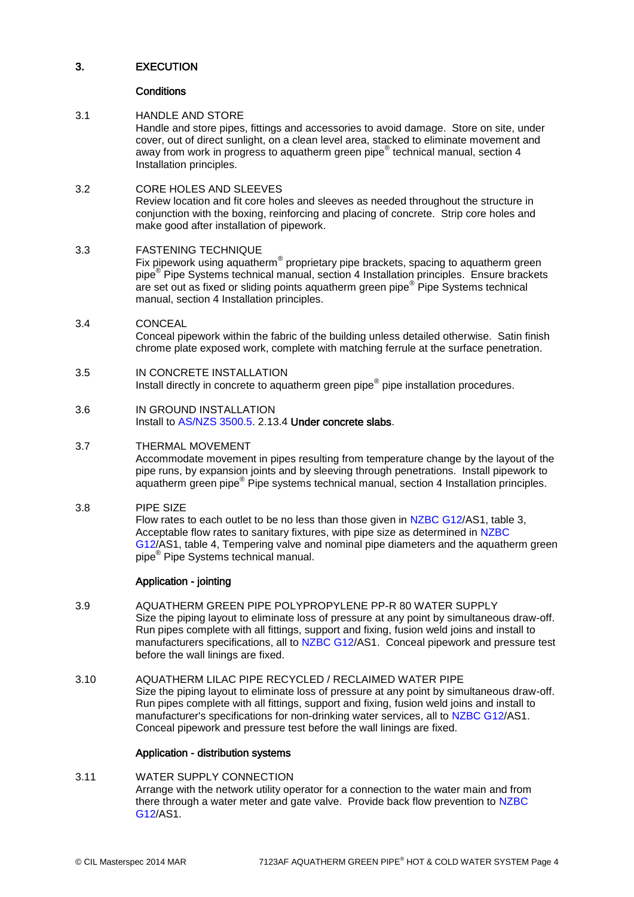# 3. EXECUTION

### **Conditions**

# 3.1 HANDLE AND STORE

Handle and store pipes, fittings and accessories to avoid damage. Store on site, under cover, out of direct sunlight, on a clean level area, stacked to eliminate movement and away from work in progress to aquatherm green pipe® technical manual, section 4 Installation principles.

# 3.2 CORE HOLES AND SLEEVES

Review location and fit core holes and sleeves as needed throughout the structure in conjunction with the boxing, reinforcing and placing of concrete. Strip core holes and make good after installation of pipework.

# 3.3 FASTENING TECHNIQUE

Fix pipework using aquatherm® proprietary pipe brackets, spacing to aquatherm green pipe® Pipe Systems technical manual, section 4 Installation principles. Ensure brackets are set out as fixed or sliding points aquatherm green pipe® Pipe Systems technical manual, section 4 Installation principles.

3.4 CONCEAL Conceal pipework within the fabric of the building unless detailed otherwise. Satin finish chrome plate exposed work, complete with matching ferrule at the surface penetration.

# 3.5 IN CONCRETE INSTALLATION

Install directly in concrete to aquatherm green pipe® pipe installation procedures.

3.6 IN GROUND INSTALLATION Install to [AS/NZS 3500.5.](http://www.masterspec.co.nz/redirect.aspx?pl=928) 2.13.4 Under concrete slabs.

# 3.7 THERMAL MOVEMENT

Accommodate movement in pipes resulting from temperature change by the layout of the pipe runs, by expansion joints and by sleeving through penetrations. Install pipework to aquatherm green pipe® Pipe systems technical manual, section 4 Installation principles.

# 3.8 PIPE SIZE

Flow rates to each outlet to be no less than those given in [NZBC G12/](http://www.masterspec.co.nz/redirect.aspx?pl=254)AS1, table 3, Acceptable flow rates to sanitary fixtures, with pipe size as determined in [NZBC](http://www.masterspec.co.nz/redirect.aspx?pl=254)  [G12/](http://www.masterspec.co.nz/redirect.aspx?pl=254)AS1, table 4, Tempering valve and nominal pipe diameters and the aquatherm green pipe® Pipe Systems technical manual.

### Application - jointing

- 3.9 AQUATHERM GREEN PIPE POLYPROPYLENE PP-R 80 WATER SUPPLY Size the piping layout to eliminate loss of pressure at any point by simultaneous draw-off. Run pipes complete with all fittings, support and fixing, fusion weld joins and install to manufacturers specifications, all to [NZBC G12/](http://www.masterspec.co.nz/redirect.aspx?pl=254)AS1. Conceal pipework and pressure test before the wall linings are fixed.
- 3.10 AQUATHERM LILAC PIPE RECYCLED / RECLAIMED WATER PIPE Size the piping layout to eliminate loss of pressure at any point by simultaneous draw-off. Run pipes complete with all fittings, support and fixing, fusion weld joins and install to manufacturer's specifications for non-drinking water services, all to [NZBC G12/](http://www.masterspec.co.nz/redirect.aspx?pl=254)AS1. Conceal pipework and pressure test before the wall linings are fixed.

### Application - distribution systems

#### 3.11 WATER SUPPLY CONNECTION Arrange with the network utility operator for a connection to the water main and from there through a water meter and gate valve. Provide back flow prevention to [NZBC](http://www.masterspec.co.nz/redirect.aspx?pl=254)  [G12/](http://www.masterspec.co.nz/redirect.aspx?pl=254)AS1.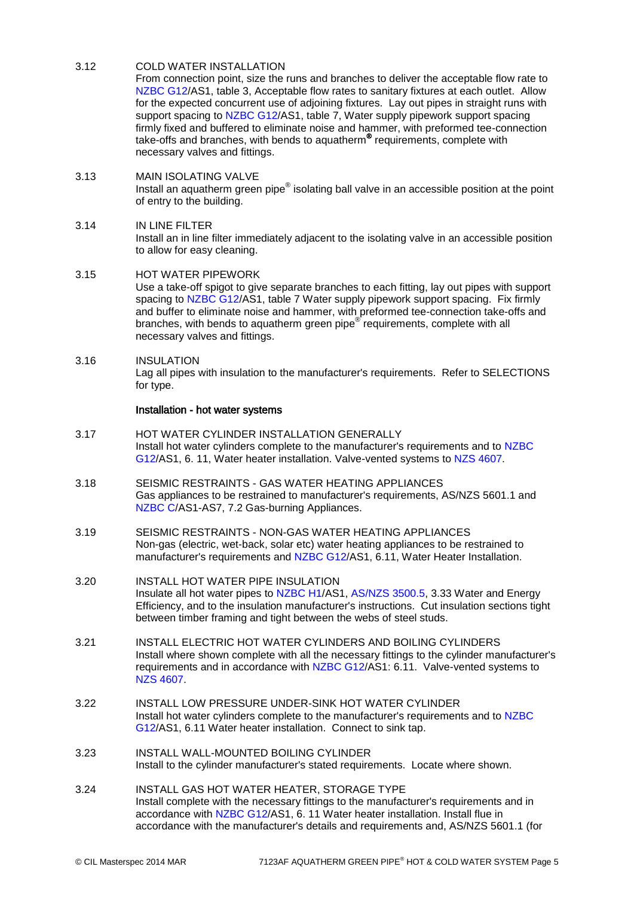# 3.12 COLD WATER INSTALLATION

From connection point, size the runs and branches to deliver the acceptable flow rate to [NZBC G12/](http://www.masterspec.co.nz/redirect.aspx?pl=254)AS1, table 3, Acceptable flow rates to sanitary fixtures at each outlet. Allow for the expected concurrent use of adjoining fixtures. Lay out pipes in straight runs with support spacing to [NZBC G12/](http://www.masterspec.co.nz/redirect.aspx?pl=254)AS1, table 7, Water supply pipework support spacing firmly fixed and buffered to eliminate noise and hammer, with preformed tee-connection take-offs and branches, with bends to aquatherm® requirements, complete with necessary valves and fittings.

- 3.13 MAIN ISOLATING VALVE Install an aquatherm green pipe $^{\circledast}$  isolating ball valve in an accessible position at the point of entry to the building.
- 3.14 IN LINE FILTER Install an in line filter immediately adjacent to the isolating valve in an accessible position to allow for easy cleaning.
- 3.15 HOT WATER PIPEWORK Use a take-off spigot to give separate branches to each fitting, lay out pipes with support spacing to [NZBC G12/](http://www.masterspec.co.nz/redirect.aspx?pl=254)AS1, table 7 Water supply pipework support spacing. Fix firmly and buffer to eliminate noise and hammer, with preformed tee-connection take-offs and branches, with bends to aquatherm green pipe<sup>®</sup> requirements, complete with all necessary valves and fittings.
- 3.16 INSULATION Lag all pipes with insulation to the manufacturer's requirements. Refer to SELECTIONS for type.

### Installation - hot water systems

- 3.17 HOT WATER CYLINDER INSTALLATION GENERALLY Install hot water cylinders complete to the manufacturer's requirements and to [NZBC](http://www.masterspec.co.nz/redirect.aspx?pl=254)  [G12/](http://www.masterspec.co.nz/redirect.aspx?pl=254)AS1, 6. 11, Water heater installation. Valve-vented systems to [NZS 4607.](http://www.masterspec.co.nz/redirect.aspx?pl=1026)
- 3.18 SEISMIC RESTRAINTS GAS WATER HEATING APPLIANCES Gas appliances to be restrained to manufacturer's requirements, AS/NZS 5601.1 and [NZBC C/](http://www.masterspec.co.nz/redirect.aspx?pl=224)AS1-AS7, 7.2 Gas-burning Appliances.
- 3.19 SEISMIC RESTRAINTS NON-GAS WATER HEATING APPLIANCES Non-gas (electric, wet-back, solar etc) water heating appliances to be restrained to manufacturer's requirements and [NZBC G12/](http://www.masterspec.co.nz/redirect.aspx?pl=254)AS1, 6.11, Water Heater Installation.
- 3.20 INSTALL HOT WATER PIPE INSULATION Insulate all hot water pipes to [NZBC H1/](http://www.masterspec.co.nz/redirect.aspx?pl=258)AS1, [AS/NZS 3500.5,](http://www.masterspec.co.nz/redirect.aspx?pl=928) 3.33 Water and Energy Efficiency, and to the insulation manufacturer's instructions. Cut insulation sections tight between timber framing and tight between the webs of steel studs.
- 3.21 INSTALL ELECTRIC HOT WATER CYLINDERS AND BOILING CYLINDERS Install where shown complete with all the necessary fittings to the cylinder manufacturer's requirements and in accordance with [NZBC G12/](http://www.masterspec.co.nz/redirect.aspx?pl=254)AS1: 6.11. Valve-vented systems to [NZS 4607.](http://www.masterspec.co.nz/redirect.aspx?pl=1026)
- 3.22 INSTALL LOW PRESSURE UNDER-SINK HOT WATER CYLINDER Install hot water cylinders complete to the manufacturer's requirements and to [NZBC](http://www.masterspec.co.nz/redirect.aspx?pl=254)  [G12/](http://www.masterspec.co.nz/redirect.aspx?pl=254)AS1, 6.11 Water heater installation. Connect to sink tap.
- 3.23 INSTALL WALL-MOUNTED BOILING CYLINDER Install to the cylinder manufacturer's stated requirements. Locate where shown.
- 3.24 INSTALL GAS HOT WATER HEATER, STORAGE TYPE Install complete with the necessary fittings to the manufacturer's requirements and in accordance with [NZBC G12/](http://www.masterspec.co.nz/redirect.aspx?pl=254)AS1, 6. 11 Water heater installation. Install flue in accordance with the manufacturer's details and requirements and, AS/NZS 5601.1 (for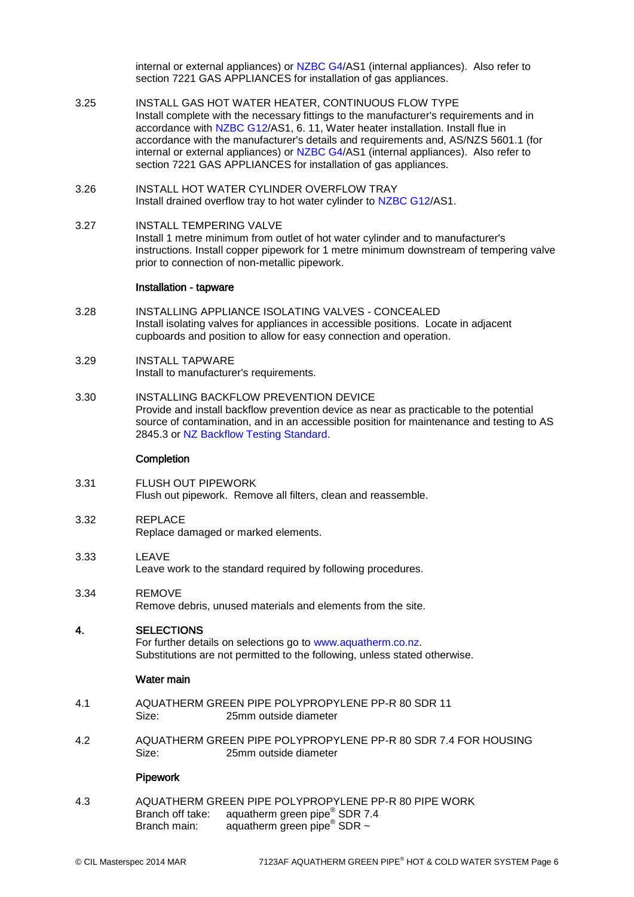internal or external appliances) or [NZBC G4/](http://www.masterspec.co.nz/redirect.aspx?pl=246)AS1 (internal appliances). Also refer to section 7221 GAS APPLIANCES for installation of gas appliances.

- 3.25 INSTALL GAS HOT WATER HEATER, CONTINUOUS FLOW TYPE Install complete with the necessary fittings to the manufacturer's requirements and in accordance with [NZBC G12/](http://www.masterspec.co.nz/redirect.aspx?pl=254)AS1, 6. 11, Water heater installation. Install flue in accordance with the manufacturer's details and requirements and, AS/NZS 5601.1 (for internal or external appliances) or [NZBC G4/](http://www.masterspec.co.nz/redirect.aspx?pl=246)AS1 (internal appliances). Also refer to section 7221 GAS APPLIANCES for installation of gas appliances.
- 3.26 INSTALL HOT WATER CYLINDER OVERFLOW TRAY Install drained overflow tray to hot water cylinder to [NZBC G12/](http://www.masterspec.co.nz/redirect.aspx?pl=254)AS1.
- 3.27 INSTALL TEMPERING VALVE Install 1 metre minimum from outlet of hot water cylinder and to manufacturer's instructions. Install copper pipework for 1 metre minimum downstream of tempering valve prior to connection of non-metallic pipework.

#### Installation - tapware

- 3.28 INSTALLING APPLIANCE ISOLATING VALVES CONCEALED Install isolating valves for appliances in accessible positions. Locate in adjacent cupboards and position to allow for easy connection and operation.
- 3.29 INSTALL TAPWARE Install to manufacturer's requirements.
- 3.30 INSTALLING BACKFLOW PREVENTION DEVICE Provide and install backflow prevention device as near as practicable to the potential source of contamination, and in an accessible position for maintenance and testing to AS 2845.3 or [NZ Backflow Testing Standard.](http://www.masterspec.co.nz/redirect.aspx?pl=1241)

### **Completion**

- 3.31 FLUSH OUT PIPEWORK Flush out pipework. Remove all filters, clean and reassemble.
- 3.32 REPLACE Replace damaged or marked elements.
- 3.33 LEAVE Leave work to the standard required by following procedures.
- 3.34 REMOVE Remove debris, unused materials and elements from the site.

### 4. SELECTIONS

For further details on selections go to [www.aquatherm.co.nz.](http://www.aquatherm.co.nz/) Substitutions are not permitted to the following, unless stated otherwise.

### Water main

- 4.1 AQUATHERM GREEN PIPE POLYPROPYLENE PP-R 80 SDR 11 Size: 25mm outside diameter
- 4.2 AQUATHERM GREEN PIPE POLYPROPYLENE PP-R 80 SDR 7.4 FOR HOUSING Size: 25mm outside diameter

### **Pipework**

4.3 AQUATHERM GREEN PIPE POLYPROPYLENE PP-R 80 PIPE WORK Branch off take: aquatherm green pipe<sup>®</sup> SDR 7.4 Branch main: aquatherm green pipe<sup>®</sup> SDR ~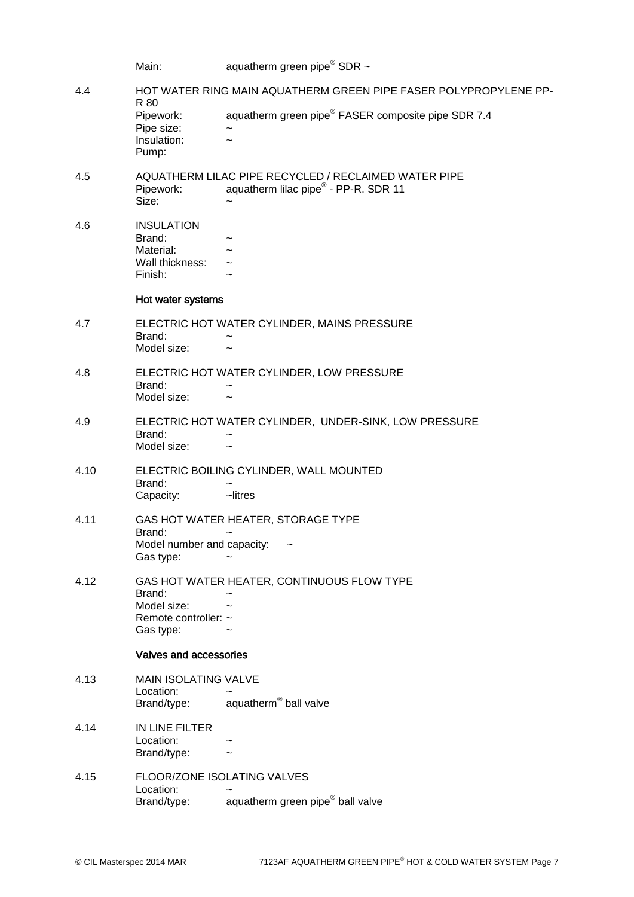|      | Main:                                                                                                              | aquatherm green pipe $^{\circ}$ SDR $\sim$                     |  |
|------|--------------------------------------------------------------------------------------------------------------------|----------------------------------------------------------------|--|
| 4.4  | HOT WATER RING MAIN AQUATHERM GREEN PIPE FASER POLYPROPYLENE PP-<br>R 80                                           |                                                                |  |
|      | Pipework:<br>Pipe size:<br>Insulation:<br>Pump:                                                                    | aquatherm green pipe <sup>®</sup> FASER composite pipe SDR 7.4 |  |
| 4.5  | AQUATHERM LILAC PIPE RECYCLED / RECLAIMED WATER PIPE<br>aquatherm lilac pipe® - PP-R. SDR 11<br>Pipework:<br>Size: |                                                                |  |
| 4.6  | <b>INSULATION</b><br>Brand:<br>Material:<br>Wall thickness:<br>Finish:                                             |                                                                |  |
|      | Hot water systems                                                                                                  |                                                                |  |
| 4.7  | Brand:<br>Model size:                                                                                              | ELECTRIC HOT WATER CYLINDER, MAINS PRESSURE                    |  |
| 4.8  | Brand:<br>Model size:                                                                                              | ELECTRIC HOT WATER CYLINDER, LOW PRESSURE                      |  |
| 4.9  | Brand:<br>Model size:                                                                                              | ELECTRIC HOT WATER CYLINDER, UNDER-SINK, LOW PRESSURE          |  |
| 4.10 | Brand:<br>Capacity:                                                                                                | ELECTRIC BOILING CYLINDER, WALL MOUNTED<br>~litres             |  |
| 4.11 |                                                                                                                    | GAS HOT WATER HEATER, STORAGE TYPE                             |  |
|      | Brand:<br>Model number and capacity:<br>Gas type:                                                                  |                                                                |  |
| 4.12 | Brand:                                                                                                             | GAS HOT WATER HEATER, CONTINUOUS FLOW TYPE                     |  |
|      | Model size:<br>Remote controller: ~                                                                                |                                                                |  |
|      | Gas type:                                                                                                          |                                                                |  |
|      | Valves and accessories                                                                                             |                                                                |  |
| 4.13 | <b>MAIN ISOLATING VALVE</b><br>Location:                                                                           |                                                                |  |
|      | Brand/type:                                                                                                        | aquatherm <sup>®</sup> ball valve                              |  |
| 4.14 | IN LINE FILTER<br>Location:<br>Brand/type:                                                                         |                                                                |  |
| 4.15 | FLOOR/ZONE ISOLATING VALVES<br>Location:<br>Brand/type:                                                            | aquatherm green pipe® ball valve                               |  |